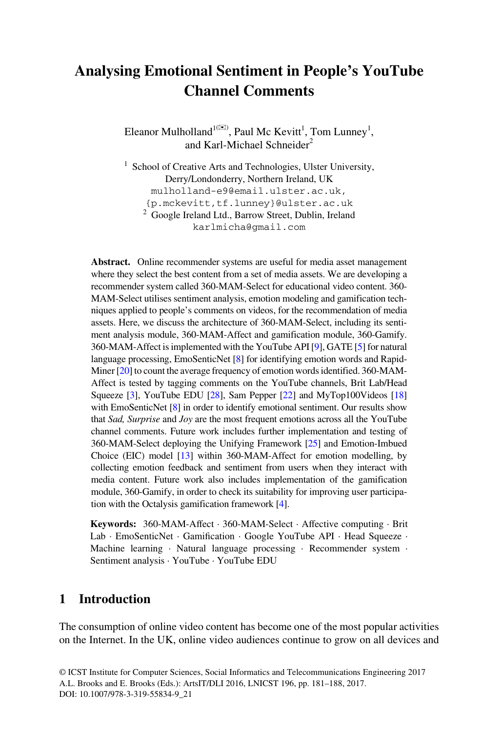# **Analysing Emotional Sentiment in People's YouTube Channel Comments**

Eleanor Mulholland<sup>1( $\boxtimes$ )</sup>, Paul Mc Kevitt<sup>1</sup>, Tom Lunney<sup>1</sup>, and Karl-Michael Schneider<sup>2</sup>

<sup>1</sup> School of Creative Arts and Technologies, Ulster University, Derry/Londonderry, Northern Ireland, UK mulholland-e9@email.ulster.ac.uk, {p.mckevitt,tf.lunney}@ulster.ac.uk <sup>2</sup> Google Ireland Ltd., Barrow Street, Dublin, Ireland karlmicha@gmail.com

**Abstract.** Online recommender systems are useful for media asset management where they select the best content from a set of media assets. We are developing a recommender system called 360-MAM-Select for educational video content. 360- MAM-Select utilises sentiment analysis, emotion modeling and gamification techniques applied to people's comments on videos, for the recommendation of media assets. Here, we discuss the architecture of 360-MAM-Select, including its sentiment analysis module, 360-MAM-Affect and gamification module, 360-Gamify. 360-MAM-Affect is implemented with the YouTube API [\[9\]](#page-6-0), GATE [[5\]](#page-6-0) for natural language processing, EmoSenticNet [[8](#page-6-0)] for identifying emotion words and Rapid-Miner [[20\]](#page-7-0) to count the average frequency of emotion words identified. 360-MAM-Affect is tested by tagging comments on the YouTube channels, Brit Lab/Head Squeeze [\[3\]](#page-6-0), YouTube EDU [\[28](#page-7-0)], Sam Pepper [[22](#page-7-0)] and MyTop100Videos [[18\]](#page-7-0) with EmoSenticNet [\[8\]](#page-6-0) in order to identify emotional sentiment. Our results show that *Sad, Surprise* and *Joy* are the most frequent emotions across all the YouTube channel comments. Future work includes further implementation and testing of 360-MAM-Select deploying the Unifying Framework [\[25](#page-7-0)] and Emotion-Imbued Choice (EIC) model [\[13](#page-7-0)] within 360-MAM-Affect for emotion modelling, by collecting emotion feedback and sentiment from users when they interact with media content. Future work also includes implementation of the gamification module, 360-Gamify, in order to check its suitability for improving user participation with the Octalysis gamification framework [\[4](#page-6-0)].

**Keywords:** 360-MAM-Affect · 360-MAM-Select · Affective computing · Brit Lab · EmoSenticNet · Gamification · Google YouTube API · Head Squeeze · Machine learning · Natural language processing · Recommender system · Sentiment analysis · YouTube · YouTube EDU

# **1 Introduction**

The consumption of online video content has become one of the most popular activities on the Internet. In the UK, online video audiences continue to grow on all devices and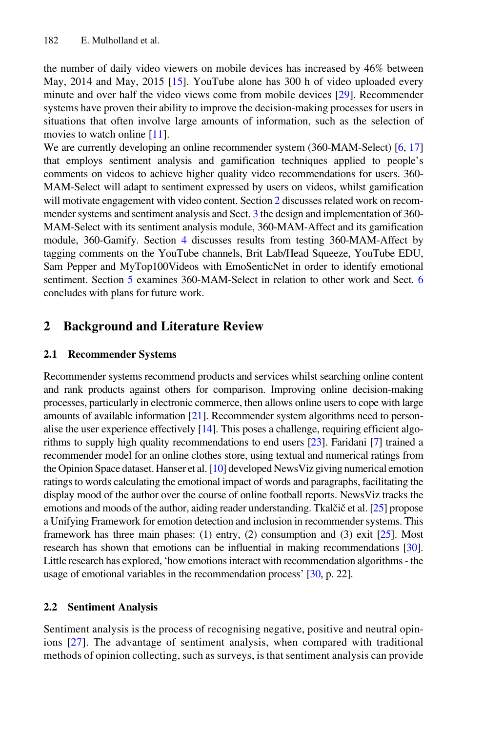the number of daily video viewers on mobile devices has increased by 46% between May, 2014 and May, 2015 [\[15](#page-7-0)]. YouTube alone has 300 h of video uploaded every minute and over half the video views come from mobile devices [\[29](#page-7-0)]. Recommender systems have proven their ability to improve the decision-making processes for users in situations that often involve large amounts of information, such as the selection of movies to watch online [\[11\]](#page-6-0).

We are currently developing an online recommender system (360-MAM-Select) [\[6](#page-6-0), [17](#page-7-0)] that employs sentiment analysis and gamification techniques applied to people's comments on videos to achieve higher quality video recommendations for users. 360- MAM-Select will adapt to sentiment expressed by users on videos, whilst gamification will motivate engagement with video content. Section 2 discusses related work on recommender systems and sentiment analysis and Sect. [3](#page-2-0) the design and implementation of 360- MAM-Select with its sentiment analysis module, 360-MAM-Affect and its gamification module, 360-Gamify. Section [4](#page-3-0) discusses results from testing 360-MAM-Affect by tagging comments on the YouTube channels, Brit Lab/Head Squeeze, YouTube EDU, Sam Pepper and MyTop100Videos with EmoSenticNet in order to identify emotional sentiment. Section [5](#page-5-0) examines 360-MAM-Select in relation to other work and Sect. [6](#page-5-0) concludes with plans for future work.

# **2 Background and Literature Review**

#### **2.1 Recommender Systems**

Recommender systems recommend products and services whilst searching online content and rank products against others for comparison. Improving online decision-making processes, particularly in electronic commerce, then allows online users to cope with large amounts of available information  $[21]$  $[21]$  $[21]$ . Recommender system algorithms need to personalise the user experience effectively  $[14]$  $[14]$ . This poses a challenge, requiring efficient algorithms to supply high quality recommendations to end users [\[23\]](#page-7-0). Faridani [\[7\]](#page-6-0) trained a recommender model for an online clothes store, using textual and numerical ratings from the Opinion Space dataset. Hanser et al. [\[10](#page-6-0)] developed NewsViz giving numerical emotion ratings to words calculating the emotional impact of words and paragraphs, facilitating the display mood of the author over the course of online football reports. NewsViz tracks the emotions and moods of the author, aiding reader understanding. Tkalčič et al. [[25\]](#page-7-0) propose a Unifying Framework for emotion detection and inclusion in recommender systems. This framework has three main phases: (1) entry, (2) consumption and (3) exit  $[25]$ . Most research has shown that emotions can be influential in making recommendations [\[30\]](#page-7-0). Little research has explored, 'how emotions interact with recommendation algorithms - the usage of emotional variables in the recommendation process' [\[30,](#page-7-0) p. 22].

#### **2.2 Sentiment Analysis**

Sentiment analysis is the process of recognising negative, positive and neutral opin‐ ions [[27\]](#page-7-0). The advantage of sentiment analysis, when compared with traditional methods of opinion collecting, such as surveys, is that sentiment analysis can provide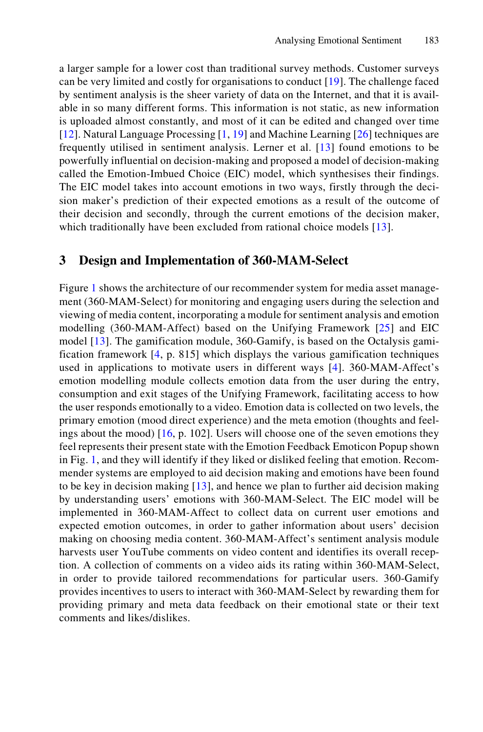<span id="page-2-0"></span>a larger sample for a lower cost than traditional survey methods. Customer surveys can be very limited and costly for organisations to conduct [[19](#page-7-0)]. The challenge faced by sentiment analysis is the sheer variety of data on the Internet, and that it is avail‐ able in so many different forms. This information is not static, as new information is uploaded almost constantly, and most of it can be edited and changed over time [\[12\]](#page-6-0). Natural Language Processing [[1,](#page-6-0) [19\]](#page-7-0) and Machine Learning [[26](#page-7-0)] techniques are frequently utilised in sentiment analysis. Lerner et al. [[13](#page-7-0)] found emotions to be powerfully influential on decision-making and proposed a model of decision-making called the Emotion-Imbued Choice (EIC) model, which synthesises their findings. The EIC model takes into account emotions in two ways, firstly through the decision maker's prediction of their expected emotions as a result of the outcome of their decision and secondly, through the current emotions of the decision maker, which traditionally have been excluded from rational choice models [[13](#page-7-0)].

## **3 Design and Implementation of 360-MAM-Select**

Figure [1](#page-3-0) shows the architecture of our recommender system for media asset management (360-MAM-Select) for monitoring and engaging users during the selection and viewing of media content, incorporating a module for sentiment analysis and emotion modelling (360-MAM-Affect) based on the Unifying Framework [[25](#page-7-0)] and EIC model [[13\]](#page-7-0). The gamification module, 360-Gamify, is based on the Octalysis gamification framework [[4,](#page-6-0) p. 815] which displays the various gamification techniques used in applications to motivate users in different ways [\[4\]](#page-6-0). 360-MAM-Affect's emotion modelling module collects emotion data from the user during the entry, consumption and exit stages of the Unifying Framework, facilitating access to how the user responds emotionally to a video. Emotion data is collected on two levels, the primary emotion (mood direct experience) and the meta emotion (thoughts and feelings about the mood) [[16](#page-7-0), p. 102]. Users will choose one of the seven emotions they feel represents their present state with the Emotion Feedback Emoticon Popup shown in Fig. [1,](#page-3-0) and they will identify if they liked or disliked feeling that emotion. Recommender systems are employed to aid decision making and emotions have been found to be key in decision making [\[13](#page-7-0)], and hence we plan to further aid decision making by understanding users' emotions with 360-MAM-Select. The EIC model will be implemented in 360-MAM-Affect to collect data on current user emotions and expected emotion outcomes, in order to gather information about users' decision making on choosing media content. 360-MAM-Affect's sentiment analysis module harvests user YouTube comments on video content and identifies its overall reception. A collection of comments on a video aids its rating within 360-MAM-Select, in order to provide tailored recommendations for particular users. 360-Gamify provides incentives to users to interact with 360-MAM-Select by rewarding them for providing primary and meta data feedback on their emotional state or their text comments and likes/dislikes.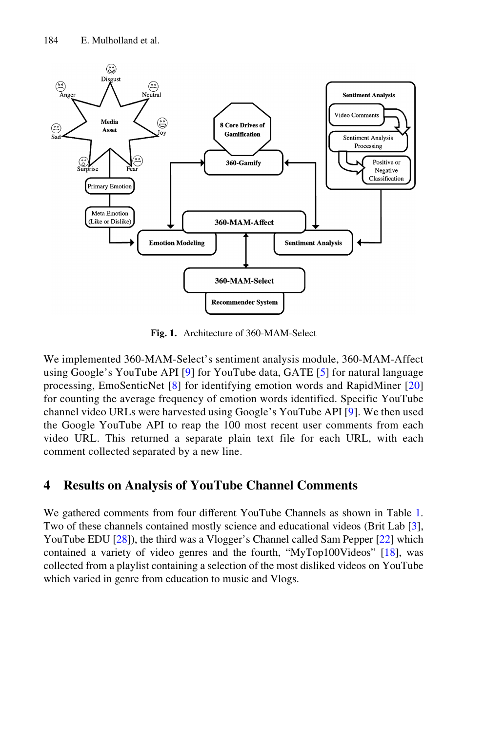<span id="page-3-0"></span>

**Fig. 1.** Architecture of 360-MAM-Select

We implemented 360-MAM-Select's sentiment analysis module, 360-MAM-Affect using Google's YouTube API [[9\]](#page-6-0) for YouTube data, GATE [\[5](#page-6-0)] for natural language processing, EmoSenticNet [\[8\]](#page-6-0) for identifying emotion words and RapidMiner [[20](#page-7-0)] for counting the average frequency of emotion words identified. Specific YouTube channel video URLs were harvested using Google's YouTube API [[9](#page-6-0)]. We then used the Google YouTube API to reap the 100 most recent user comments from each video URL. This returned a separate plain text file for each URL, with each comment collected separated by a new line.

# **4 Results on Analysis of YouTube Channel Comments**

We gathered comments from four different YouTube Channels as shown in Table 1. Two of these channels contained mostly science and educational videos (Brit Lab [[3\]](#page-6-0), YouTube EDU [[28\]](#page-7-0)), the third was a Vlogger's Channel called Sam Pepper [\[22](#page-7-0)] which contained a variety of video genres and the fourth, "MyTop100Videos" [[18\]](#page-7-0), was collected from a playlist containing a selection of the most disliked videos on YouTube which varied in genre from education to music and Vlogs.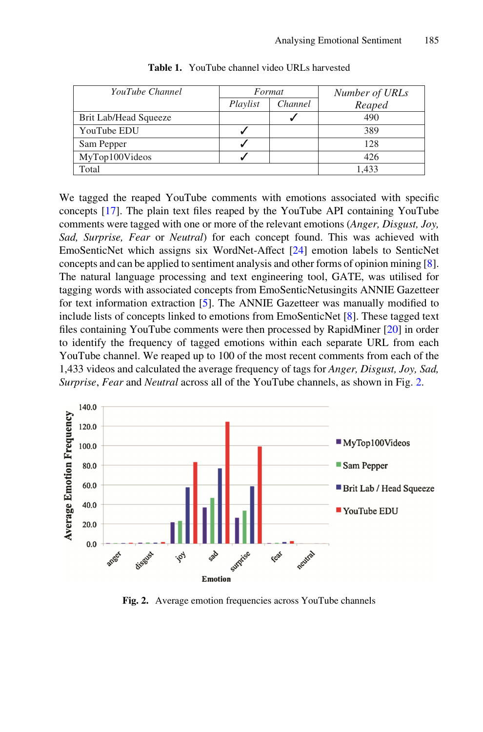| YouTube Channel       | Format   |         | Number of URLs |
|-----------------------|----------|---------|----------------|
|                       | Playlist | Channel | Reaped         |
| Brit Lab/Head Squeeze |          |         | 490            |
| YouTube EDU           |          |         | 389            |
| Sam Pepper            |          |         | 128            |
| MyTop100Videos        |          |         | 426            |
| Total                 |          |         | 1.433          |

We tagged the reaped YouTube comments with emotions associated with specific concepts [[17\]](#page-7-0). The plain text files reaped by the YouTube API containing YouTube comments were tagged with one or more of the relevant emotions (*Anger, Disgust, Joy, Sad, Surprise, Fear* or *Neutral*) for each concept found. This was achieved with EmoSenticNet which assigns six WordNet-Affect [[24\]](#page-7-0) emotion labels to SenticNet concepts and can be applied to sentiment analysis and other forms of opinion mining [[8\]](#page-6-0). The natural language processing and text engineering tool, GATE, was utilised for tagging words with associated concepts from EmoSenticNetusingits ANNIE Gazetteer for text information extraction [\[5](#page-6-0)]. The ANNIE Gazetteer was manually modified to include lists of concepts linked to emotions from EmoSenticNet [[8\]](#page-6-0). These tagged text files containing YouTube comments were then processed by RapidMiner [\[20](#page-7-0)] in order to identify the frequency of tagged emotions within each separate URL from each YouTube channel. We reaped up to 100 of the most recent comments from each of the 1,433 videos and calculated the average frequency of tags for *Anger, Disgust, Joy, Sad, Surprise*, *Fear* and *Neutral* across all of the YouTube channels, as shown in Fig. 2.



**Fig. 2.** Average emotion frequencies across YouTube channels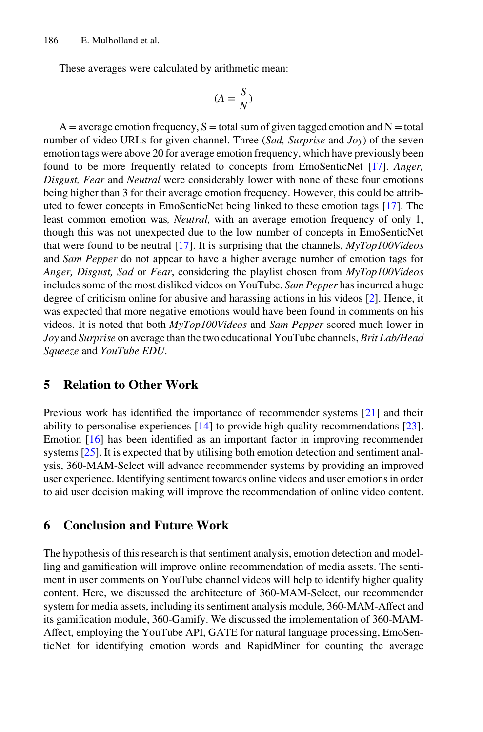<span id="page-5-0"></span>These averages were calculated by arithmetic mean:

$$
(A = \frac{S}{N})
$$

 $A =$  average emotion frequency,  $S =$  total sum of given tagged emotion and  $N =$  total number of video URLs for given channel. Three (*Sad, Surprise* and *Joy*) of the seven emotion tags were above 20 for average emotion frequency, which have previously been found to be more frequently related to concepts from EmoSenticNet [\[17](#page-7-0)]. *Anger, Disgust, Fear* and *Neutral* were considerably lower with none of these four emotions being higher than 3 for their average emotion frequency. However, this could be attributed to fewer concepts in EmoSenticNet being linked to these emotion tags [\[17](#page-7-0)]. The least common emotion was*, Neutral,* with an average emotion frequency of only 1, though this was not unexpected due to the low number of concepts in EmoSenticNet that were found to be neutral [\[17](#page-7-0)]. It is surprising that the channels, *MyTop100Videos* and *Sam Pepper* do not appear to have a higher average number of emotion tags for *Anger, Disgust, Sad* or *Fear*, considering the playlist chosen from *MyTop100Videos* includes some of the most disliked videos on YouTube. *Sam Pepper* has incurred a huge degree of criticism online for abusive and harassing actions in his videos [\[2](#page-6-0)]. Hence, it was expected that more negative emotions would have been found in comments on his videos. It is noted that both *MyTop100Videos* and *Sam Pepper* scored much lower in *Joy* and *Surprise* on average than the two educational YouTube channels, *Brit Lab/Head Squeeze* and *YouTube EDU*.

## **5 Relation to Other Work**

Previous work has identified the importance of recommender systems [[21\]](#page-7-0) and their ability to personalise experiences [\[14](#page-7-0)] to provide high quality recommendations [[23\]](#page-7-0). Emotion [\[16](#page-7-0)] has been identified as an important factor in improving recommender systems  $[25]$  $[25]$ . It is expected that by utilising both emotion detection and sentiment analysis, 360-MAM-Select will advance recommender systems by providing an improved user experience. Identifying sentiment towards online videos and user emotions in order to aid user decision making will improve the recommendation of online video content.

#### **6 Conclusion and Future Work**

The hypothesis of this research is that sentiment analysis, emotion detection and model‐ ling and gamification will improve online recommendation of media assets. The sentiment in user comments on YouTube channel videos will help to identify higher quality content. Here, we discussed the architecture of 360-MAM-Select, our recommender system for media assets, including its sentiment analysis module, 360-MAM-Affect and its gamification module, 360-Gamify. We discussed the implementation of 360-MAM-Affect, employing the YouTube API, GATE for natural language processing, EmoSen‐ ticNet for identifying emotion words and RapidMiner for counting the average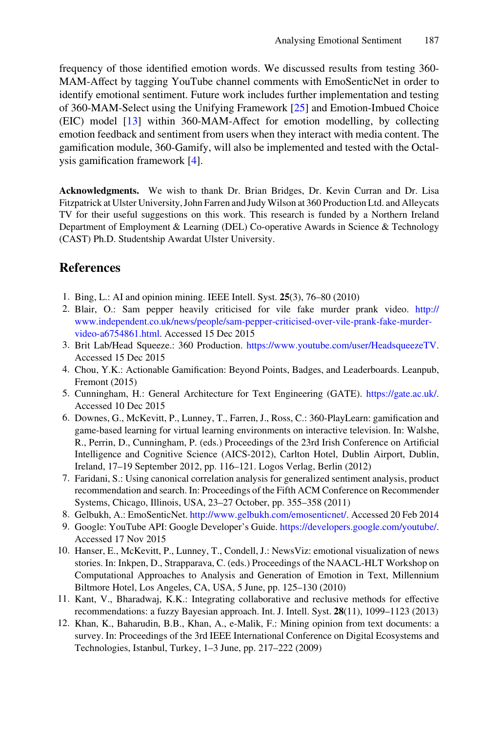<span id="page-6-0"></span>frequency of those identified emotion words. We discussed results from testing 360- MAM-Affect by tagging YouTube channel comments with EmoSenticNet in order to identify emotional sentiment. Future work includes further implementation and testing of 360-MAM-Select using the Unifying Framework [[25\]](#page-7-0) and Emotion-Imbued Choice (EIC) model [\[13](#page-7-0)] within 360-MAM-Affect for emotion modelling, by collecting emotion feedback and sentiment from users when they interact with media content. The gamification module, 360-Gamify, will also be implemented and tested with the Octal‐ ysis gamification framework [4].

**Acknowledgments.** We wish to thank Dr. Brian Bridges, Dr. Kevin Curran and Dr. Lisa Fitzpatrick at Ulster University, John Farren and Judy Wilson at 360 Production Ltd. and Alleycats TV for their useful suggestions on this work. This research is funded by a Northern Ireland Department of Employment & Learning (DEL) Co-operative Awards in Science & Technology (CAST) Ph.D. Studentship Awardat Ulster University.

# **References**

- 1. Bing, L.: AI and opinion mining. IEEE Intell. Syst. **25**(3), 76–80 (2010)
- 2. Blair, O.: Sam pepper heavily criticised for vile fake murder prank video. [http://](http://www.independent.co.uk/news/people/sam-pepper-criticised-over-vile-prank-fake-murder-video-a6754861.html) [www.independent.co.uk/news/people/sam-pepper-criticised-over-vile-prank-fake-murder](http://www.independent.co.uk/news/people/sam-pepper-criticised-over-vile-prank-fake-murder-video-a6754861.html)[video-a6754861.html](http://www.independent.co.uk/news/people/sam-pepper-criticised-over-vile-prank-fake-murder-video-a6754861.html). Accessed 15 Dec 2015
- 3. Brit Lab/Head Squeeze.: 360 Production. <https://www.youtube.com/user/HeadsqueezeTV>. Accessed 15 Dec 2015
- 4. Chou, Y.K.: Actionable Gamification: Beyond Points, Badges, and Leaderboards. Leanpub, Fremont (2015)
- 5. Cunningham, H.: General Architecture for Text Engineering (GATE). <https://gate.ac.uk/>. Accessed 10 Dec 2015
- 6. Downes, G., McKevitt, P., Lunney, T., Farren, J., Ross, C.: 360-PlayLearn: gamification and game-based learning for virtual learning environments on interactive television. In: Walshe, R., Perrin, D., Cunningham, P. (eds.) Proceedings of the 23rd Irish Conference on Artificial Intelligence and Cognitive Science (AICS-2012), Carlton Hotel, Dublin Airport, Dublin, Ireland, 17–19 September 2012, pp. 116–121. Logos Verlag, Berlin (2012)
- 7. Faridani, S.: Using canonical correlation analysis for generalized sentiment analysis, product recommendation and search. In: Proceedings of the Fifth ACM Conference on Recommender Systems, Chicago, Illinois, USA, 23–27 October, pp. 355–358 (2011)
- 8. Gelbukh, A.: EmoSenticNet.<http://www.gelbukh.com/emosenticnet/>. Accessed 20 Feb 2014
- 9. Google: YouTube API: Google Developer's Guide.<https://developers.google.com/youtube/>. Accessed 17 Nov 2015
- 10. Hanser, E., McKevitt, P., Lunney, T., Condell, J.: NewsViz: emotional visualization of news stories. In: Inkpen, D., Strapparava, C. (eds.) Proceedings of the NAACL-HLT Workshop on Computational Approaches to Analysis and Generation of Emotion in Text, Millennium Biltmore Hotel, Los Angeles, CA, USA, 5 June, pp. 125–130 (2010)
- 11. Kant, V., Bharadwaj, K.K.: Integrating collaborative and reclusive methods for effective recommendations: a fuzzy Bayesian approach. Int. J. Intell. Syst. **28**(11), 1099–1123 (2013)
- 12. Khan, K., Baharudin, B.B., Khan, A., e-Malik, F.: Mining opinion from text documents: a survey. In: Proceedings of the 3rd IEEE International Conference on Digital Ecosystems and Technologies, Istanbul, Turkey, 1–3 June, pp. 217–222 (2009)